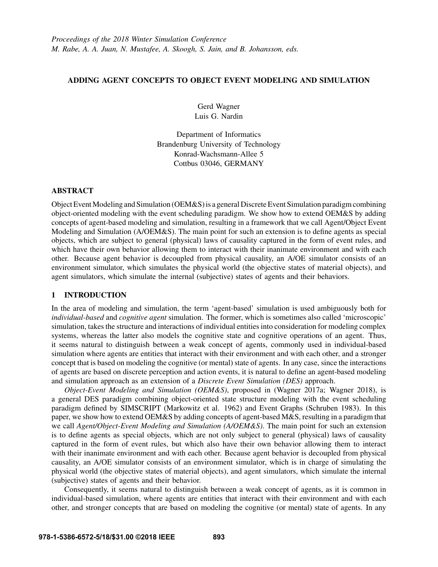# ADDING AGENT CONCEPTS TO OBJECT EVENT MODELING AND SIMULATION

Gerd Wagner Luis G. Nardin

Department of Informatics Brandenburg University of Technology Konrad-Wachsmann-Allee 5 Cottbus 03046, GERMANY

## ABSTRACT

Object Event Modeling and Simulation (OEM&S) is a general Discrete Event Simulation paradigm combining object-oriented modeling with the event scheduling paradigm. We show how to extend OEM&S by adding concepts of agent-based modeling and simulation, resulting in a framework that we call Agent/Object Event Modeling and Simulation (A/OEM&S). The main point for such an extension is to define agents as special objects, which are subject to general (physical) laws of causality captured in the form of event rules, and which have their own behavior allowing them to interact with their inanimate environment and with each other. Because agent behavior is decoupled from physical causality, an A/OE simulator consists of an environment simulator, which simulates the physical world (the objective states of material objects), and agent simulators, which simulate the internal (subjective) states of agents and their behaviors.

# 1 INTRODUCTION

In the area of modeling and simulation, the term 'agent-based' simulation is used ambiguously both for *individual-based* and *cognitive agent* simulation. The former, which is sometimes also called 'microscopic' simulation, takes the structure and interactions of individual entities into consideration for modeling complex systems, whereas the latter also models the cognitive state and cognitive operations of an agent. Thus, it seems natural to distinguish between a weak concept of agents, commonly used in individual-based simulation where agents are entities that interact with their environment and with each other, and a stronger concept that is based on modeling the cognitive (or mental) state of agents. In any case, since the interactions of agents are based on discrete perception and action events, it is natural to define an agent-based modeling and simulation approach as an extension of a *Discrete Event Simulation (DES)* approach.

*Object-Event Modeling and Simulation (OEM&S)*, proposed in (Wagner 2017a; Wagner 2018), is a general DES paradigm combining object-oriented state structure modeling with the event scheduling paradigm defined by SIMSCRIPT (Markowitz et al. 1962) and Event Graphs (Schruben 1983). In this paper, we show how to extend OEM&S by adding concepts of agent-based M&S, resulting in a paradigm that we call *Agent/Object-Event Modeling and Simulation (A/OEM&S)*. The main point for such an extension is to define agents as special objects, which are not only subject to general (physical) laws of causality captured in the form of event rules, but which also have their own behavior allowing them to interact with their inanimate environment and with each other. Because agent behavior is decoupled from physical causality, an A/OE simulator consists of an environment simulator, which is in charge of simulating the physical world (the objective states of material objects), and agent simulators, which simulate the internal (subjective) states of agents and their behavior.

Consequently, it seems natural to distinguish between a weak concept of agents, as it is common in individual-based simulation, where agents are entities that interact with their environment and with each other, and stronger concepts that are based on modeling the cognitive (or mental) state of agents. In any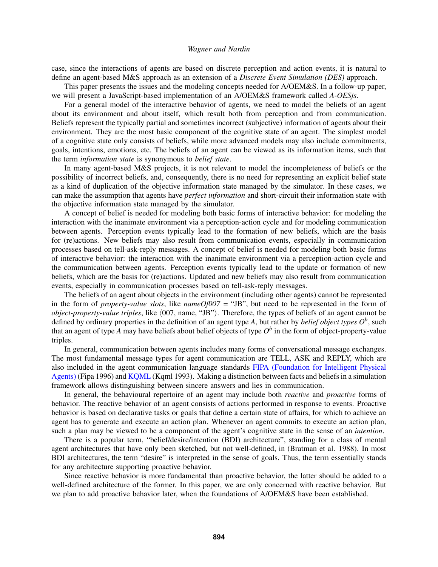case, since the interactions of agents are based on discrete perception and action events, it is natural to define an agent-based M&S approach as an extension of a *Discrete Event Simulation (DES)* approach.

This paper presents the issues and the modeling concepts needed for A/OEM&S. In a follow-up paper, we will present a JavaScript-based implementation of an A/OEM&S framework called *A-OESjs*.

For a general model of the interactive behavior of agents, we need to model the beliefs of an agent about its environment and about itself, which result both from perception and from communication. Beliefs represent the typically partial and sometimes incorrect (subjective) information of agents about their environment. They are the most basic component of the cognitive state of an agent. The simplest model of a cognitive state only consists of beliefs, while more advanced models may also include commitments, goals, intentions, emotions, etc. The beliefs of an agent can be viewed as its information items, such that the term *information state* is synonymous to *belief state*.

In many agent-based M&S projects, it is not relevant to model the incompleteness of beliefs or the possibility of incorrect beliefs, and, consequently, there is no need for representing an explicit belief state as a kind of duplication of the objective information state managed by the simulator. In these cases, we can make the assumption that agents have *perfect information* and short-circuit their information state with the objective information state managed by the simulator.

A concept of belief is needed for modeling both basic forms of interactive behavior: for modeling the interaction with the inanimate environment via a perception-action cycle and for modeling communication between agents. Perception events typically lead to the formation of new beliefs, which are the basis for (re)actions. New beliefs may also result from communication events, especially in communication processes based on tell-ask-reply messages. A concept of belief is needed for modeling both basic forms of interactive behavior: the interaction with the inanimate environment via a perception-action cycle and the communication between agents. Perception events typically lead to the update or formation of new beliefs, which are the basis for (re)actions. Updated and new beliefs may also result from communication events, especially in communication processes based on tell-ask-reply messages.

The beliefs of an agent about objects in the environment (including other agents) cannot be represented in the form of *property-value slots*, like *nameOf007* = "JB", but need to be represented in the form of *object-property-value triples*, like  $\langle 007,$  name, "JB"). Therefore, the types of beliefs of an agent cannot be defined by ordinary properties in the definition of an agent type *A*, but rather by *belief object types O<sup>b</sup>* , such that an agent of type *A* may have beliefs about belief objects of type  $O^b$  in the form of object-property-value triples.

In general, communication between agents includes many forms of conversational message exchanges. The most fundamental message types for agent communication are TELL, ASK and REPLY, which are also included in the agent communication language standards FIPA (Foundation for Intelligent Physical Agents) (Fipa 1996) and KQML (Kqml 1993). Making a distinction between facts and beliefs in a simulation framework allows distinguishing between sincere answers and lies in communication.

In general, the behavioural repertoire of an agent may include both *reactive* and *proactive* forms of behavior. The reactive behavior of an agent consists of actions performed in response to events. Proactive behavior is based on declarative tasks or goals that define a certain state of affairs, for which to achieve an agent has to generate and execute an action plan. Whenever an agent commits to execute an action plan, such a plan may be viewed to be a component of the agent's cognitive state in the sense of an *intention*.

There is a popular term, "belief/desire/intention (BDI) architecture", standing for a class of mental agent architectures that have only been sketched, but not well-defined, in (Bratman et al. 1988). In most BDI architectures, the term "desire" is interpreted in the sense of goals. Thus, the term essentially stands for any architecture supporting proactive behavior.

Since reactive behavior is more fundamental than proactive behavior, the latter should be added to a well-defined architecture of the former. In this paper, we are only concerned with reactive behavior. But we plan to add proactive behavior later, when the foundations of A/OEM&S have been established.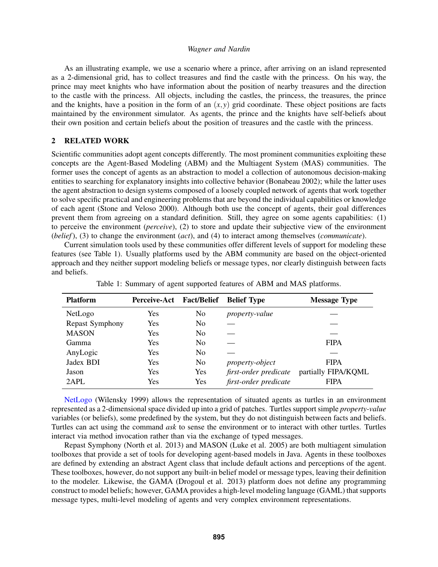As an illustrating example, we use a scenario where a prince, after arriving on an island represented as a 2-dimensional grid, has to collect treasures and find the castle with the princess. On his way, the prince may meet knights who have information about the position of nearby treasures and the direction to the castle with the princess. All objects, including the castles, the princess, the treasures, the prince and the knights, have a position in the form of an  $(x, y)$  grid coordinate. These object positions are facts maintained by the environment simulator. As agents, the prince and the knights have self-beliefs about their own position and certain beliefs about the position of treasures and the castle with the princess.

### 2 RELATED WORK

Scientific communities adopt agent concepts differently. The most prominent communities exploiting these concepts are the Agent-Based Modeling (ABM) and the Multiagent System (MAS) communities. The former uses the concept of agents as an abstraction to model a collection of autonomous decision-making entities to searching for explanatory insights into collective behavior (Bonabeau 2002); while the latter uses the agent abstraction to design systems composed of a loosely coupled network of agents that work together to solve specific practical and engineering problems that are beyond the individual capabilities or knowledge of each agent (Stone and Veloso 2000). Although both use the concept of agents, their goal differences prevent them from agreeing on a standard definition. Still, they agree on some agents capabilities: (1) to perceive the environment (*perceive*), (2) to store and update their subjective view of the environment (*belief*), (3) to change the environment (*act*), and (4) to interact among themselves (*communicate*).

Current simulation tools used by these communities offer different levels of support for modeling these features (see Table 1). Usually platforms used by the ABM community are based on the object-oriented approach and they neither support modeling beliefs or message types, nor clearly distinguish between facts and beliefs.

| <b>Platform</b> | <b>Perceive-Act</b> | <b>Fact/Belief</b> | <b>Belief Type</b>     | <b>Message Type</b> |
|-----------------|---------------------|--------------------|------------------------|---------------------|
| NetLogo         | Yes                 | No                 | <i>property-value</i>  |                     |
| Repast Symphony | Yes                 | N <sub>0</sub>     |                        |                     |
| <b>MASON</b>    | Yes                 | N <sub>0</sub>     |                        |                     |
| Gamma           | Yes                 | N <sub>0</sub>     |                        | <b>FIPA</b>         |
| AnyLogic        | Yes                 | N <sub>0</sub>     |                        |                     |
| Jadex BDI       | Yes                 | N <sub>0</sub>     | <i>property-object</i> | <b>FIPA</b>         |
| Jason           | Yes                 | <b>Yes</b>         | first-order predicate  | partially FIPA/KOML |
| 2APL            | Yes                 | <b>Yes</b>         | first-order predicate  | <b>FIPA</b>         |

Table 1: Summary of agent supported features of ABM and MAS platforms.

NetLogo (Wilensky 1999) allows the representation of situated agents as turtles in an environment represented as a 2-dimensional space divided up into a grid of patches. Turtles support simple *property-value* variables (or beliefs), some predefined by the system, but they do not distinguish between facts and beliefs. Turtles can act using the command *ask* to sense the environment or to interact with other turtles. Turtles interact via method invocation rather than via the exchange of typed messages.

Repast Symphony (North et al. 2013) and MASON (Luke et al. 2005) are both multiagent simulation toolboxes that provide a set of tools for developing agent-based models in Java. Agents in these toolboxes are defined by extending an abstract Agent class that include default actions and perceptions of the agent. These toolboxes, however, do not support any built-in belief model or message types, leaving their definition to the modeler. Likewise, the GAMA (Drogoul et al. 2013) platform does not define any programming construct to model beliefs; however, GAMA provides a high-level modeling language (GAML) that supports message types, multi-level modeling of agents and very complex environment representations.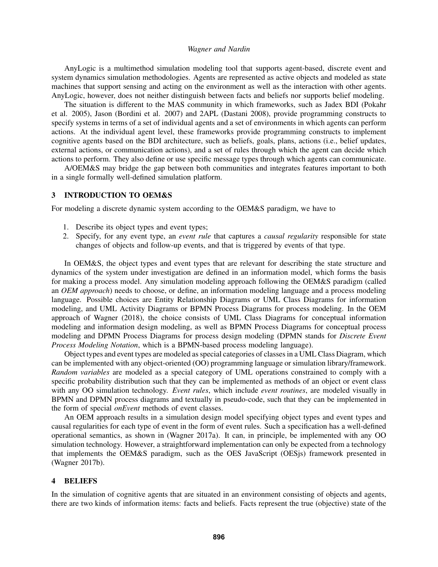AnyLogic is a multimethod simulation modeling tool that supports agent-based, discrete event and system dynamics simulation methodologies. Agents are represented as active objects and modeled as state machines that support sensing and acting on the environment as well as the interaction with other agents. AnyLogic, however, does not neither distinguish between facts and beliefs nor supports belief modeling.

The situation is different to the MAS community in which frameworks, such as Jadex BDI (Pokahr et al. 2005), Jason (Bordini et al. 2007) and 2APL (Dastani 2008), provide programming constructs to specify systems in terms of a set of individual agents and a set of environments in which agents can perform actions. At the individual agent level, these frameworks provide programming constructs to implement cognitive agents based on the BDI architecture, such as beliefs, goals, plans, actions (i.e., belief updates, external actions, or communication actions), and a set of rules through which the agent can decide which actions to perform. They also define or use specific message types through which agents can communicate.

A/OEM&S may bridge the gap between both communities and integrates features important to both in a single formally well-defined simulation platform.

### 3 INTRODUCTION TO OEM&S

For modeling a discrete dynamic system according to the OEM&S paradigm, we have to

- 1. Describe its object types and event types;
- 2. Specify, for any event type, an *event rule* that captures a *causal regularity* responsible for state changes of objects and follow-up events, and that is triggered by events of that type.

In OEM&S, the object types and event types that are relevant for describing the state structure and dynamics of the system under investigation are defined in an information model, which forms the basis for making a process model. Any simulation modeling approach following the OEM&S paradigm (called an *OEM approach*) needs to choose, or define, an information modeling language and a process modeling language. Possible choices are Entity Relationship Diagrams or UML Class Diagrams for information modeling, and UML Activity Diagrams or BPMN Process Diagrams for process modeling. In the OEM approach of Wagner (2018), the choice consists of UML Class Diagrams for conceptual information modeling and information design modeling, as well as BPMN Process Diagrams for conceptual process modeling and DPMN Process Diagrams for process design modeling (DPMN stands for *Discrete Event Process Modeling Notation*, which is a BPMN-based process modeling language).

Object types and event types are modeled as special categories of classes in a UML Class Diagram, which can be implemented with any object-oriented (OO) programming language or simulation library/framework. *Random variables* are modeled as a special category of UML operations constrained to comply with a specific probability distribution such that they can be implemented as methods of an object or event class with any OO simulation technology. *Event rules*, which include *event routines*, are modeled visually in BPMN and DPMN process diagrams and textually in pseudo-code, such that they can be implemented in the form of special *onEvent* methods of event classes.

An OEM approach results in a simulation design model specifying object types and event types and causal regularities for each type of event in the form of event rules. Such a specification has a well-defined operational semantics, as shown in (Wagner 2017a). It can, in principle, be implemented with any OO simulation technology. However, a straightforward implementation can only be expected from a technology that implements the OEM&S paradigm, such as the OES JavaScript (OESjs) framework presented in (Wagner 2017b).

## 4 BELIEFS

In the simulation of cognitive agents that are situated in an environment consisting of objects and agents, there are two kinds of information items: facts and beliefs. Facts represent the true (objective) state of the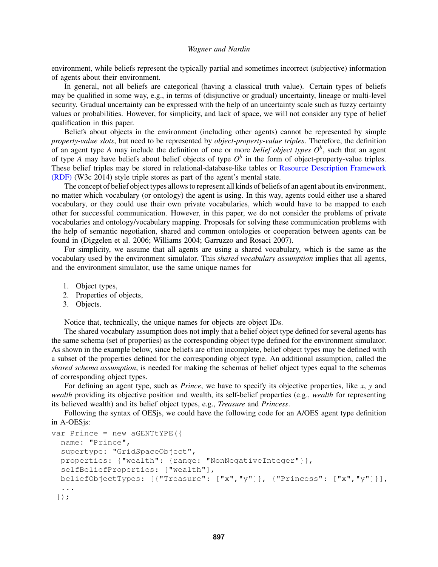environment, while beliefs represent the typically partial and sometimes incorrect (subjective) information of agents about their environment.

In general, not all beliefs are categorical (having a classical truth value). Certain types of beliefs may be qualified in some way, e.g., in terms of (disjunctive or gradual) uncertainty, lineage or multi-level security. Gradual uncertainty can be expressed with the help of an uncertainty scale such as fuzzy certainty values or probabilities. However, for simplicity, and lack of space, we will not consider any type of belief qualification in this paper.

Beliefs about objects in the environment (including other agents) cannot be represented by simple *property-value slots*, but need to be represented by *object-property-value triples*. Therefore, the definition of an agent type *A* may include the definition of one or more *belief object types O<sup>b</sup>* , such that an agent of type *A* may have beliefs about belief objects of type  $O^b$  in the form of object-property-value triples. These belief triples may be stored in relational-database-like tables or Resource Description Framework (RDF) (W3c 2014) style triple stores as part of the agent's mental state.

The concept of belief object types allows to represent all kinds of beliefs of an agent about its environment, no matter which vocabulary (or ontology) the agent is using. In this way, agents could either use a shared vocabulary, or they could use their own private vocabularies, which would have to be mapped to each other for successful communication. However, in this paper, we do not consider the problems of private vocabularies and ontology/vocabulary mapping. Proposals for solving these communication problems with the help of semantic negotiation, shared and common ontologies or cooperation between agents can be found in (Diggelen et al. 2006; Williams 2004; Garruzzo and Rosaci 2007).

For simplicity, we assume that all agents are using a shared vocabulary, which is the same as the vocabulary used by the environment simulator. This *shared vocabulary assumption* implies that all agents, and the environment simulator, use the same unique names for

- 1. Object types,
- 2. Properties of objects,
- 3. Objects.

Notice that, technically, the unique names for objects are object IDs.

The shared vocabulary assumption does not imply that a belief object type defined for several agents has the same schema (set of properties) as the corresponding object type defined for the environment simulator. As shown in the example below, since beliefs are often incomplete, belief object types may be defined with a subset of the properties defined for the corresponding object type. An additional assumption, called the *shared schema assumption*, is needed for making the schemas of belief object types equal to the schemas of corresponding object types.

For defining an agent type, such as *Prince*, we have to specify its objective properties, like *x*, *y* and *wealth* providing its objective position and wealth, its self-belief properties (e.g., *wealth* for representing its believed wealth) and its belief object types, e.g., *Treasure* and *Princess*.

Following the syntax of OESjs, we could have the following code for an A/OES agent type definition in A-OESjs:

```
var Prince = new aGENTtYPE({
  name: "Prince",
  supertype: "GridSpaceObject",
  properties: {"wealth": {range: "NonNegativeInteger"}},
  selfBeliefProperties: ["wealth"],
 beliefObjectTypes: [{"Treasure": ["x","y"]}, {"Princess": ["x","y"]}],
  ...
 });
```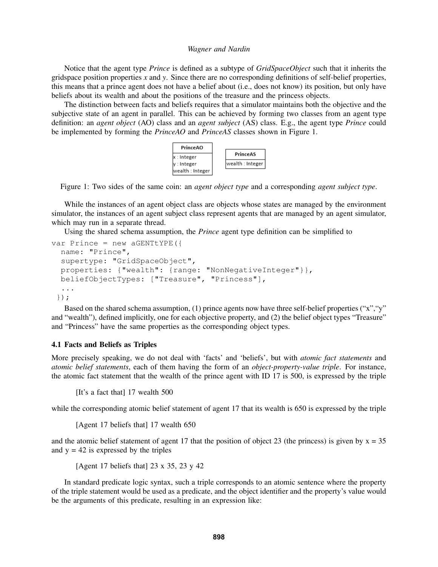Notice that the agent type *Prince* is defined as a subtype of *GridSpaceObject* such that it inherits the gridspace position properties *x* and *y*. Since there are no corresponding definitions of self-belief properties, this means that a prince agent does not have a belief about (i.e., does not know) its position, but only have beliefs about its wealth and about the positions of the treasure and the princess objects.

The distinction between facts and beliefs requires that a simulator maintains both the objective and the subjective state of an agent in parallel. This can be achieved by forming two classes from an agent type definition: an *agent object* (AO) class and an *agent subject* (AS) class. E.g., the agent type *Prince* could be implemented by forming the *PrinceAO* and *PrinceAS* classes shown in Figure 1.



Figure 1: Two sides of the same coin: an *agent object type* and a corresponding *agent subject type*.

While the instances of an agent object class are objects whose states are managed by the environment simulator, the instances of an agent subject class represent agents that are managed by an agent simulator. which may run in a separate thread.

Using the shared schema assumption, the *Prince* agent type definition can be simplified to

```
var Prince = new aGENTtYPE({
  name: "Prince",
  supertype: "GridSpaceObject",
  properties: {"wealth": {range: "NonNegativeInteger"}},
 beliefObjectTypes: ["Treasure", "Princess"],
  ...
 });
```
Based on the shared schema assumption, (1) prince agents now have three self-belief properties ("x","y" and "wealth"), defined implicitly, one for each objective property, and (2) the belief object types "Treasure" and "Princess" have the same properties as the corresponding object types.

## 4.1 Facts and Beliefs as Triples

More precisely speaking, we do not deal with 'facts' and 'beliefs', but with *atomic fact statements* and *atomic belief statements*, each of them having the form of an *object-property-value triple*. For instance, the atomic fact statement that the wealth of the prince agent with ID 17 is 500, is expressed by the triple

[It's a fact that] 17 wealth 500

while the corresponding atomic belief statement of agent 17 that its wealth is 650 is expressed by the triple

[Agent 17 beliefs that] 17 wealth 650

and the atomic belief statement of agent 17 that the position of object 23 (the princess) is given by  $x = 35$ and  $y = 42$  is expressed by the triples

[Agent 17 beliefs that] 23 x 35, 23 y 42

In standard predicate logic syntax, such a triple corresponds to an atomic sentence where the property of the triple statement would be used as a predicate, and the object identifier and the property's value would be the arguments of this predicate, resulting in an expression like: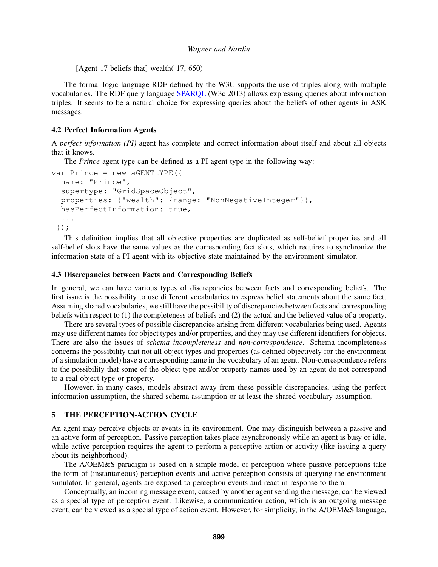[Agent 17 beliefs that] wealth( 17, 650)

The formal logic language RDF defined by the W3C supports the use of triples along with multiple vocabularies. The RDF query language SPARQL (W3c 2013) allows expressing queries about information triples. It seems to be a natural choice for expressing queries about the beliefs of other agents in ASK messages.

## 4.2 Perfect Information Agents

A *perfect information (PI)* agent has complete and correct information about itself and about all objects that it knows.

The *Prince* agent type can be defined as a PI agent type in the following way:

```
var Prince = new aGENTtYPE({
  name: "Prince",
  supertype: "GridSpaceObject",
  properties: {"wealth": {range: "NonNegativeInteger"}},
 hasPerfectInformation: true,
  ...
 });
```
This definition implies that all objective properties are duplicated as self-belief properties and all self-belief slots have the same values as the corresponding fact slots, which requires to synchronize the information state of a PI agent with its objective state maintained by the environment simulator.

### 4.3 Discrepancies between Facts and Corresponding Beliefs

In general, we can have various types of discrepancies between facts and corresponding beliefs. The first issue is the possibility to use different vocabularies to express belief statements about the same fact. Assuming shared vocabularies, we still have the possibility of discrepancies between facts and corresponding beliefs with respect to (1) the completeness of beliefs and (2) the actual and the believed value of a property.

There are several types of possible discrepancies arising from different vocabularies being used. Agents may use different names for object types and/or properties, and they may use different identifiers for objects. There are also the issues of *schema incompleteness* and *non-correspondence*. Schema incompleteness concerns the possibility that not all object types and properties (as defined objectively for the environment of a simulation model) have a corresponding name in the vocabulary of an agent. Non-correspondence refers to the possibility that some of the object type and/or property names used by an agent do not correspond to a real object type or property.

However, in many cases, models abstract away from these possible discrepancies, using the perfect information assumption, the shared schema assumption or at least the shared vocabulary assumption.

## 5 THE PERCEPTION-ACTION CYCLE

An agent may perceive objects or events in its environment. One may distinguish between a passive and an active form of perception. Passive perception takes place asynchronously while an agent is busy or idle, while active perception requires the agent to perform a perceptive action or activity (like issuing a query about its neighborhood).

The A/OEM&S paradigm is based on a simple model of perception where passive perceptions take the form of (instantaneous) perception events and active perception consists of querying the environment simulator. In general, agents are exposed to perception events and react in response to them.

Conceptually, an incoming message event, caused by another agent sending the message, can be viewed as a special type of perception event. Likewise, a communication action, which is an outgoing message event, can be viewed as a special type of action event. However, for simplicity, in the A/OEM&S language,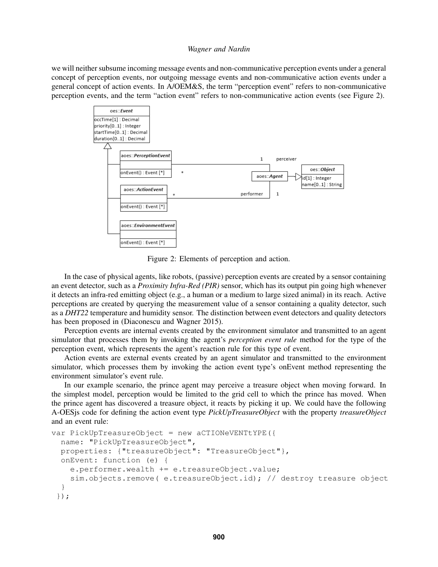we will neither subsume incoming message events and non-communicative perception events under a general concept of perception events, nor outgoing message events and non-communicative action events under a general concept of action events. In A/OEM&S, the term "perception event" refers to non-communicative perception events, and the term "action event" refers to non-communicative action events (see Figure 2).



Figure 2: Elements of perception and action.

In the case of physical agents, like robots, (passive) perception events are created by a sensor containing an event detector, such as a *Proximity Infra-Red (PIR)* sensor, which has its output pin going high whenever it detects an infra-red emitting object (e.g., a human or a medium to large sized animal) in its reach. Active perceptions are created by querying the measurement value of a sensor containing a quality detector, such as a *DHT22* temperature and humidity sensor. The distinction between event detectors and quality detectors has been proposed in (Diaconescu and Wagner 2015).

Perception events are internal events created by the environment simulator and transmitted to an agent simulator that processes them by invoking the agent's *perception event rule* method for the type of the perception event, which represents the agent's reaction rule for this type of event.

Action events are external events created by an agent simulator and transmitted to the environment simulator, which processes them by invoking the action event type's onEvent method representing the environment simulator's event rule.

In our example scenario, the prince agent may perceive a treasure object when moving forward. In the simplest model, perception would be limited to the grid cell to which the prince has moved. When the prince agent has discovered a treasure object, it reacts by picking it up. We could have the following A-OESjs code for defining the action event type *PickUpTreasureObject* with the property *treasureObject* and an event rule:

```
var PickUpTreasureObject = new aCTIONeVENTtYPE({
  name: "PickUpTreasureObject",
  properties: {"treasureObject": "TreasureObject"},
  onEvent: function (e) {
    e.performer.wealth += e.treasureObject.value;
    sim.objects.remove( e.treasureObject.id); // destroy treasure object
  }
 });
```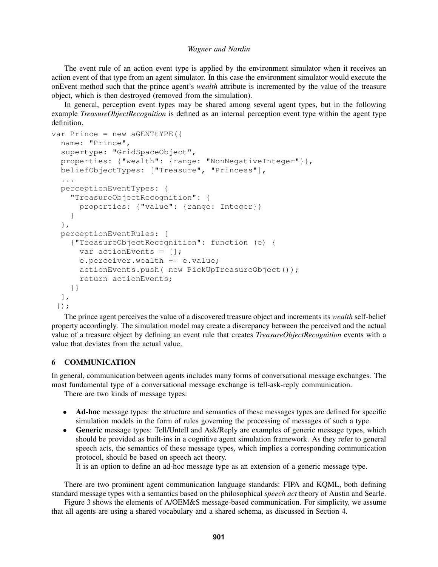The event rule of an action event type is applied by the environment simulator when it receives an action event of that type from an agent simulator. In this case the environment simulator would execute the onEvent method such that the prince agent's *wealth* attribute is incremented by the value of the treasure object, which is then destroyed (removed from the simulation).

In general, perception event types may be shared among several agent types, but in the following example *TreasureObjectRecognition* is defined as an internal perception event type within the agent type definition.

```
var Prince = new aGENTtYPE({
 name: "Prince",
  supertype: "GridSpaceObject",
 properties: {"wealth": {range: "NonNegativeInteger"}},
 beliefObjectTypes: ["Treasure", "Princess"],
  ...
 perceptionEventTypes: {
    "TreasureObjectRecognition": {
      properties: {"value": {range: Integer}}
    }
  },
 perceptionEventRules: [
    {"TreasureObjectRecognition": function (e) {
      var actionEvents = [];
      e.perceiver.wealth += e.value;
      actionEvents.push( new PickUpTreasureObject());
      return actionEvents;
   }}
  ],
 });
```
The prince agent perceives the value of a discovered treasure object and increments its *wealth* self-belief property accordingly. The simulation model may create a discrepancy between the perceived and the actual value of a treasure object by defining an event rule that creates *TreasureObjectRecognition* events with a value that deviates from the actual value.

## 6 COMMUNICATION

In general, communication between agents includes many forms of conversational message exchanges. The most fundamental type of a conversational message exchange is tell-ask-reply communication.

There are two kinds of message types:

- Ad-hoc message types: the structure and semantics of these messages types are defined for specific simulation models in the form of rules governing the processing of messages of such a type.
- Generic message types: Tell/Untell and Ask/Reply are examples of generic message types, which should be provided as built-ins in a cognitive agent simulation framework. As they refer to general speech acts, the semantics of these message types, which implies a corresponding communication protocol, should be based on speech act theory.

It is an option to define an ad-hoc message type as an extension of a generic message type.

There are two prominent agent communication language standards: FIPA and KQML, both defining standard message types with a semantics based on the philosophical *speech act* theory of Austin and Searle.

Figure 3 shows the elements of A/OEM&S message-based communication. For simplicity, we assume that all agents are using a shared vocabulary and a shared schema, as discussed in Section 4.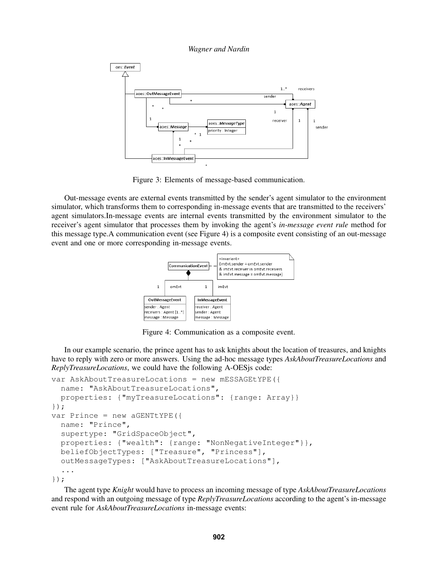*Wagner and Nardin*



Figure 3: Elements of message-based communication.

Out-message events are external events transmitted by the sender's agent simulator to the environment simulator, which transforms them to corresponding in-message events that are transmitted to the receivers' agent simulators.In-message events are internal events transmitted by the environment simulator to the receiver's agent simulator that processes them by invoking the agent's *in-message event rule* method for this message type.A communication event (see Figure 4) is a composite event consisting of an out-message event and one or more corresponding in-message events.



Figure 4: Communication as a composite event.

In our example scenario, the prince agent has to ask knights about the location of treasures, and knights have to reply with zero or more answers. Using the ad-hoc message types *AskAboutTreasureLocations* and *ReplyTreasureLocations*, we could have the following A-OESjs code:

```
var AskAboutTreasureLocations = new mESSAGEtYPE({
  name: "AskAboutTreasureLocations",
  properties: {"myTreasureLocations": {range: Array}}
});
var Prince = new aGENTtYPE({
  name: "Prince",
  supertype: "GridSpaceObject",
  properties: {"wealth": {range: "NonNegativeInteger"}},
  beliefObjectTypes: ["Treasure", "Princess"],
  outMessageTypes: ["AskAboutTreasureLocations"],
  ...
});
```
The agent type *Knight* would have to process an incoming message of type *AskAboutTreasureLocations* and respond with an outgoing message of type *ReplyTreasureLocations* according to the agent's in-message event rule for *AskAboutTreasureLocations* in-message events: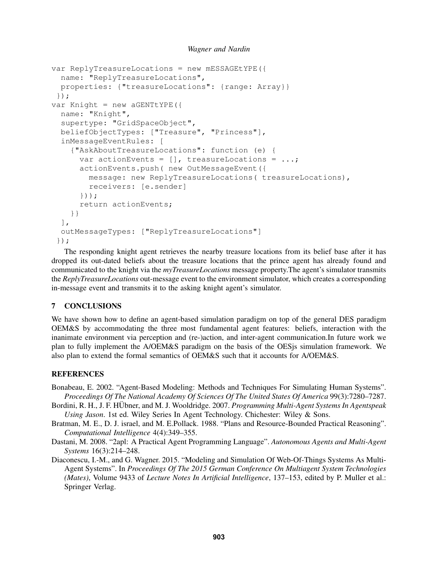```
Wagner and Nardin
```

```
var ReplyTreasureLocations = new mESSAGEtYPE({
  name: "ReplyTreasureLocations",
  properties: {"treasureLocations": {range: Array}}
 });
var Knight = new aGENTLYPE ({
  name: "Knight",
  supertype: "GridSpaceObject",
  beliefObjectTypes: ["Treasure", "Princess"],
  inMessageEventRules: [
    {"AskAboutTreasureLocations": function (e) {
      var actionEvents = [], treasureLocations = ...;
      actionEvents.push( new OutMessageEvent({
        message: new ReplyTreasureLocations( treasureLocations),
        receivers: [e.sender]
      }));
      return actionEvents;
    }}
  \mathbf{1},
  outMessageTypes: ["ReplyTreasureLocations"]
 });
```
The responding knight agent retrieves the nearby treasure locations from its belief base after it has dropped its out-dated beliefs about the treasure locations that the prince agent has already found and communicated to the knight via the *myTreasureLocations* message property.The agent's simulator transmits the *ReplyTreasureLocations* out-message event to the environment simulator, which creates a corresponding in-message event and transmits it to the asking knight agent's simulator.

# 7 CONCLUSIONS

We have shown how to define an agent-based simulation paradigm on top of the general DES paradigm OEM&S by accommodating the three most fundamental agent features: beliefs, interaction with the inanimate environment via perception and (re-)action, and inter-agent communication.In future work we plan to fully implement the A/OEM&S paradigm on the basis of the OESjs simulation framework. We also plan to extend the formal semantics of OEM&S such that it accounts for A/OEM&S.

# **REFERENCES**

Bonabeau, E. 2002. "Agent-Based Modeling: Methods and Techniques For Simulating Human Systems". *Proceedings Of The National Academy Of Sciences Of The United States Of America* 99(3):7280–7287.

- Bordini, R. H., J. F. HÜbner, and M. J. Wooldridge. 2007. Programming Multi-Agent Systems In Agentspeak *Using Jason*. 1st ed. Wiley Series In Agent Technology. Chichester: Wiley & Sons.
- Bratman, M. E., D. J. israel, and M. E.Pollack. 1988. "Plans and Resource-Bounded Practical Reasoning". *Computational Intelligence* 4(4):349–355.
- Dastani, M. 2008. "2apl: A Practical Agent Programming Language". *Autonomous Agents and Multi-Agent Systems* 16(3):214–248.
- Diaconescu, I.-M., and G. Wagner. 2015. "Modeling and Simulation Of Web-Of-Things Systems As Multi-Agent Systems". In *Proceedings Of The 2015 German Conference On Multiagent System Technologies (Mates)*, Volume 9433 of *Lecture Notes In Artificial Intelligence*, 137–153, edited by P. Muller et al.: Springer Verlag.